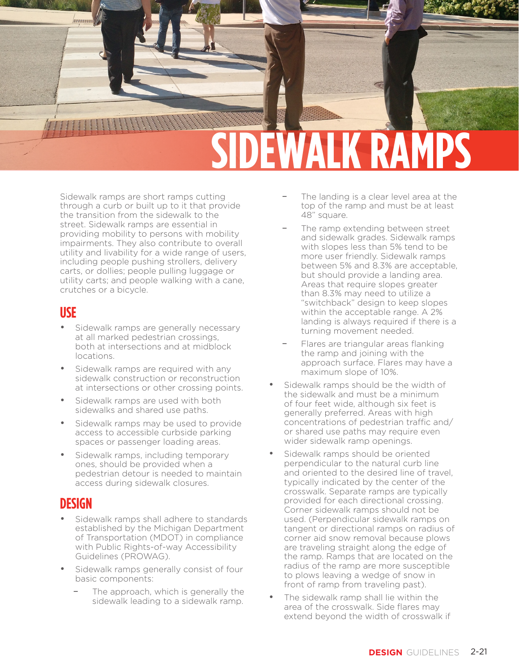

Sidewalk ramps are short ramps cutting through a curb or built up to it that provide the transition from the sidewalk to the street. Sidewalk ramps are essential in providing mobility to persons with mobility impairments. They also contribute to overall utility and livability for a wide range of users, including people pushing strollers, delivery carts, or dollies; people pulling luggage or utility carts; and people walking with a cane, crutches or a bicycle.

#### **USE**

- Sidewalk ramps are generally necessary at all marked pedestrian crossings, both at intersections and at midblock locations.
- Sidewalk ramps are required with any sidewalk construction or reconstruction at intersections or other crossing points.
- Sidewalk ramps are used with both sidewalks and shared use paths.
- Sidewalk ramps may be used to provide access to accessible curbside parking spaces or passenger loading areas.
- Sidewalk ramps, including temporary ones, should be provided when a pedestrian detour is needed to maintain access during sidewalk closures.

### **DESIGN**

- Sidewalk ramps shall adhere to standards established by the Michigan Department of Transportation (MDOT) in compliance with Public Rights-of-way Accessibility Guidelines (PROWAG).
- Sidewalk ramps generally consist of four basic components:
	- The approach, which is generally the sidewalk leading to a sidewalk ramp.
- The landing is a clear level area at the top of the ramp and must be at least 48" square.
- The ramp extending between street and sidewalk grades. Sidewalk ramps with slopes less than 5% tend to be more user friendly. Sidewalk ramps between 5% and 8.3% are acceptable, but should provide a landing area. Areas that require slopes greater than 8.3% may need to utilize a "switchback" design to keep slopes within the acceptable range. A 2% landing is always required if there is a turning movement needed.
- Flares are triangular areas flanking the ramp and joining with the approach surface. Flares may have a maximum slope of 10%.
- Sidewalk ramps should be the width of the sidewalk and must be a minimum of four feet wide, although six feet is generally preferred. Areas with high concentrations of pedestrian traffic and/ or shared use paths may require even wider sidewalk ramp openings.
- Sidewalk ramps should be oriented perpendicular to the natural curb line and oriented to the desired line of travel, typically indicated by the center of the crosswalk. Separate ramps are typically provided for each directional crossing. Corner sidewalk ramps should not be used. (Perpendicular sidewalk ramps on tangent or directional ramps on radius of corner aid snow removal because plows are traveling straight along the edge of the ramp. Ramps that are located on the radius of the ramp are more susceptible to plows leaving a wedge of snow in front of ramp from traveling past).
- The sidewalk ramp shall lie within the area of the crosswalk. Side flares may extend beyond the width of crosswalk if